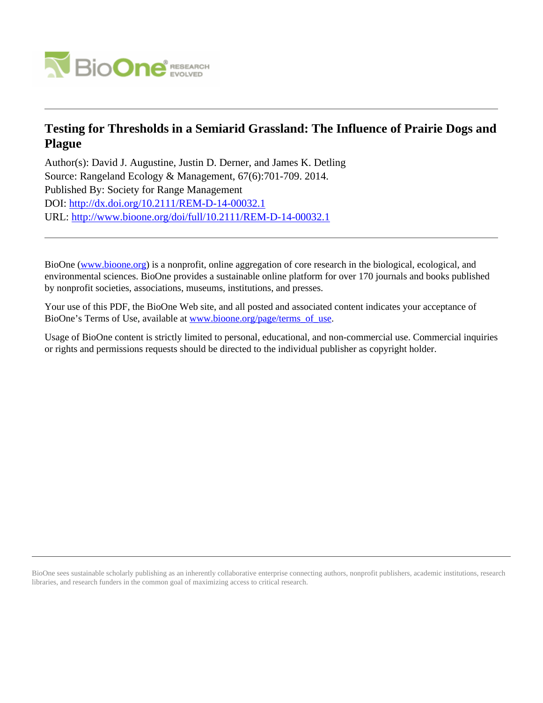

# **Testing for Thresholds in a Semiarid Grassland: The Influence of Prairie Dogs and Plague**

Author(s): David J. Augustine, Justin D. Derner, and James K. Detling Source: Rangeland Ecology & Management, 67(6):701-709. 2014. Published By: Society for Range Management DOI:<http://dx.doi.org/10.2111/REM-D-14-00032.1> URL: <http://www.bioone.org/doi/full/10.2111/REM-D-14-00032.1>

BioOne [\(www.bioone.org\)](http://www.bioone.org) is a nonprofit, online aggregation of core research in the biological, ecological, and environmental sciences. BioOne provides a sustainable online platform for over 170 journals and books published by nonprofit societies, associations, museums, institutions, and presses.

Your use of this PDF, the BioOne Web site, and all posted and associated content indicates your acceptance of BioOne's Terms of Use, available at [www.bioone.org/page/terms\\_of\\_use.](http://www.bioone.org/page/terms_of_use)

Usage of BioOne content is strictly limited to personal, educational, and non-commercial use. Commercial inquiries or rights and permissions requests should be directed to the individual publisher as copyright holder.

BioOne sees sustainable scholarly publishing as an inherently collaborative enterprise connecting authors, nonprofit publishers, academic institutions, research libraries, and research funders in the common goal of maximizing access to critical research.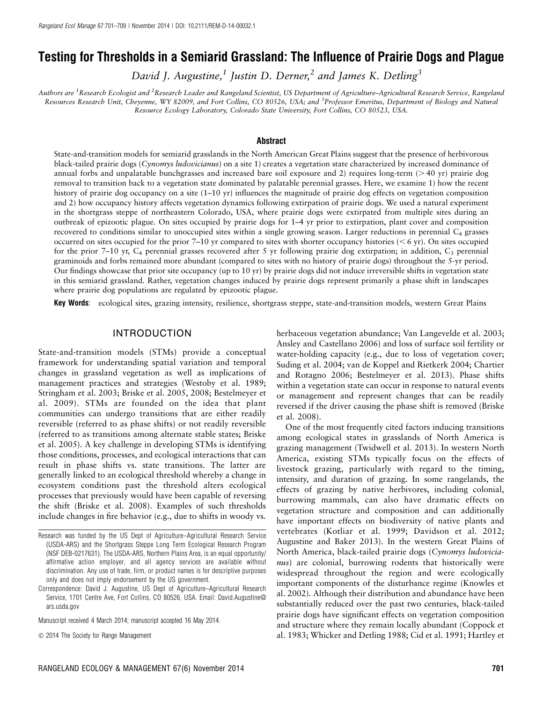## Testing for Thresholds in a Semiarid Grassland: The Influence of Prairie Dogs and Plague

David J. Augustine,<sup>1</sup> Justin D. Derner,<sup>2</sup> and James K. Detling<sup>3</sup>

Authors are <sup>1</sup>Research Ecologist and <sup>2</sup>Research Leader and Rangeland Scientist, US Department of Agriculture–Agricultural Research Service, Rangeland Resources Research Unit, Cheyenne, WY 82009, and Fort Collins, CO 80526, USA; and <sup>3</sup>Professor Emeritus, Department of Biology and Natural Resource Ecology Laboratory, Colorado State University, Fort Collins, CO 80523, USA.

#### **Abstract**

State-and-transition models for semiarid grasslands in the North American Great Plains suggest that the presence of herbivorous black-tailed prairie dogs (Cynomys *ludovicianus*) on a site 1) creates a vegetation state characterized by increased dominance of annual forbs and unpalatable bunchgrasses and increased bare soil exposure and 2) requires long-term ( $>$ 40 yr) prairie dog removal to transition back to a vegetation state dominated by palatable perennial grasses. Here, we examine 1) how the recent history of prairie dog occupancy on a site (1–10 yr) influences the magnitude of prairie dog effects on vegetation composition and 2) how occupancy history affects vegetation dynamics following extirpation of prairie dogs. We used a natural experiment in the shortgrass steppe of northeastern Colorado, USA, where prairie dogs were extirpated from multiple sites during an outbreak of epizootic plague. On sites occupied by prairie dogs for 1–4 yr prior to extirpation, plant cover and composition recovered to conditions similar to unoccupied sites within a single growing season. Larger reductions in perennial  $C_4$  grasses occurred on sites occupied for the prior 7–10 yr compared to sites with shorter occupancy histories ( $\leq 6$  yr). On sites occupied for the prior 7–10 yr,  $C_4$  perennial grasses recovered after 5 yr following prairie dog extirpation; in addition,  $C_3$  perennial graminoids and forbs remained more abundant (compared to sites with no history of prairie dogs) throughout the 5-yr period. Our findings showcase that prior site occupancy (up to 10 yr) by prairie dogs did not induce irreversible shifts in vegetation state in this semiarid grassland. Rather, vegetation changes induced by prairie dogs represent primarily a phase shift in landscapes where prairie dog populations are regulated by epizootic plague.

Key Words: ecological sites, grazing intensity, resilience, shortgrass steppe, state-and-transition models, western Great Plains

## INTRODUCTION

State-and-transition models (STMs) provide a conceptual framework for understanding spatial variation and temporal changes in grassland vegetation as well as implications of management practices and strategies (Westoby et al. 1989; Stringham et al. 2003; Briske et al. 2005, 2008; Bestelmeyer et al. 2009). STMs are founded on the idea that plant communities can undergo transitions that are either readily reversible (referred to as phase shifts) or not readily reversible (referred to as transitions among alternate stable states; Briske et al. 2005). A key challenge in developing STMs is identifying those conditions, processes, and ecological interactions that can result in phase shifts vs. state transitions. The latter are generally linked to an ecological threshold whereby a change in ecosystem conditions past the threshold alters ecological processes that previously would have been capable of reversing the shift (Briske et al. 2008). Examples of such thresholds include changes in fire behavior (e.g., due to shifts in woody vs.

herbaceous vegetation abundance; Van Langevelde et al. 2003; Ansley and Castellano 2006) and loss of surface soil fertility or water-holding capacity (e.g., due to loss of vegetation cover; Suding et al. 2004; van de Koppel and Rietkerk 2004; Chartier and Rotagno 2006; Bestelmeyer et al. 2013). Phase shifts within a vegetation state can occur in response to natural events or management and represent changes that can be readily reversed if the driver causing the phase shift is removed (Briske et al. 2008).

One of the most frequently cited factors inducing transitions among ecological states in grasslands of North America is grazing management (Twidwell et al. 2013). In western North America, existing STMs typically focus on the effects of livestock grazing, particularly with regard to the timing, intensity, and duration of grazing. In some rangelands, the effects of grazing by native herbivores, including colonial, burrowing mammals, can also have dramatic effects on vegetation structure and composition and can additionally have important effects on biodiversity of native plants and vertebrates (Kotliar et al. 1999; Davidson et al. 2012; Augustine and Baker 2013). In the western Great Plains of North America, black-tailed prairie dogs (Cynomys ludovicianus) are colonial, burrowing rodents that historically were widespread throughout the region and were ecologically important components of the disturbance regime (Knowles et al. 2002). Although their distribution and abundance have been substantially reduced over the past two centuries, black-tailed prairie dogs have significant effects on vegetation composition and structure where they remain locally abundant (Coppock et al. 1983; Whicker and Detling 1988; Cid et al. 1991; Hartley et

Research was funded by the US Dept of Agriculture–Agricultural Research Service (USDA-ARS) and the Shortgrass Steppe Long Term Ecological Research Program (NSF DEB-0217631). The USDA-ARS, Northern Plains Area, is an equal opportunity/ affirmative action employer, and all agency services are available without discrimination. Any use of trade, firm, or product names is for descriptive purposes only and does not imply endorsement by the US government.

Correspondence: David J. Augustine, US Dept of Agriculture–Agricultural Research Service, 1701 Centre Ave, Fort Collins, CO 80526, USA. Email: David.Augustine@ ars.usda.gov

Manuscript received 4 March 2014; manuscript accepted 16 May 2014.

 $\odot$  2014 The Society for Range Management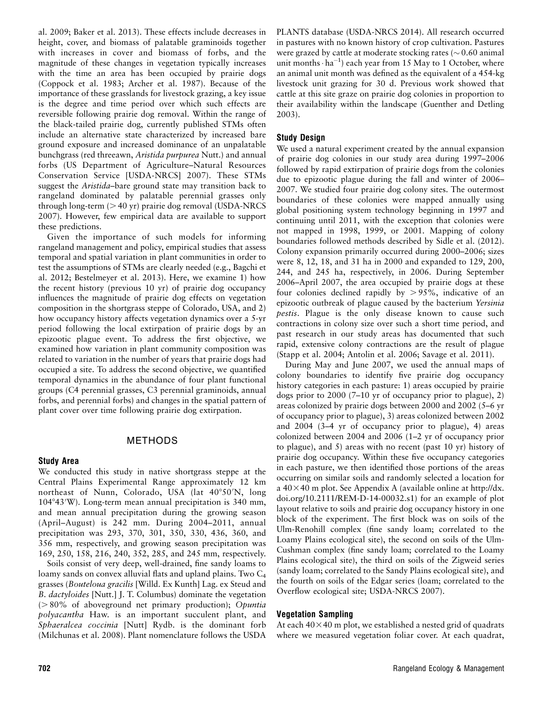al. 2009; Baker et al. 2013). These effects include decreases in height, cover, and biomass of palatable graminoids together with increases in cover and biomass of forbs, and the magnitude of these changes in vegetation typically increases with the time an area has been occupied by prairie dogs (Coppock et al. 1983; Archer et al. 1987). Because of the importance of these grasslands for livestock grazing, a key issue is the degree and time period over which such effects are reversible following prairie dog removal. Within the range of the black-tailed prairie dog, currently published STMs often include an alternative state characterized by increased bare ground exposure and increased dominance of an unpalatable bunchgrass (red threeawn, Aristida purpurea Nutt.) and annual forbs (US Department of Agriculture–Natural Resources Conservation Service [USDA-NRCS] 2007). These STMs suggest the Aristida-bare ground state may transition back to rangeland dominated by palatable perennial grasses only through long-term  $(> 40 \text{ yr})$  prairie dog removal (USDA-NRCS) 2007). However, few empirical data are available to support these predictions.

Given the importance of such models for informing rangeland management and policy, empirical studies that assess temporal and spatial variation in plant communities in order to test the assumptions of STMs are clearly needed (e.g., Bagchi et al. 2012; Bestelmeyer et al. 2013). Here, we examine 1) how the recent history (previous 10 yr) of prairie dog occupancy influences the magnitude of prairie dog effects on vegetation composition in the shortgrass steppe of Colorado, USA, and 2) how occupancy history affects vegetation dynamics over a 5-yr period following the local extirpation of prairie dogs by an epizootic plague event. To address the first objective, we examined how variation in plant community composition was related to variation in the number of years that prairie dogs had occupied a site. To address the second objective, we quantified temporal dynamics in the abundance of four plant functional groups (C4 perennial grasses, C3 perennial graminoids, annual forbs, and perennial forbs) and changes in the spatial pattern of plant cover over time following prairie dog extirpation.

## METHODS

#### Study Area

We conducted this study in native shortgrass steppe at the Central Plains Experimental Range approximately 12 km northeast of Nunn, Colorado, USA (lat 40°50′N, long 104°43′W). Long-term mean annual precipitation is 340 mm, and mean annual precipitation during the growing season (April–August) is 242 mm. During 2004–2011, annual precipitation was 293, 370, 301, 350, 330, 436, 360, and 356 mm, respectively, and growing season precipitation was 169, 250, 158, 216, 240, 352, 285, and 245 mm, respectively.

Soils consist of very deep, well-drained, fine sandy loams to loamy sands on convex alluvial flats and upland plains. Two C<sub>4</sub> grasses (Bouteloua gracilis [Willd. Ex Kunth] Lag. ex Steud and B. dactyloides [Nutt.] J. T. Columbus) dominate the vegetation  $( > 80\%$  of aboveground net primary production); Opuntia polyacantha Haw. is an important succulent plant, and Sphaeralcea coccinia [Nutt] Rydb. is the dominant forb (Milchunas et al. 2008). Plant nomenclature follows the USDA PLANTS database (USDA-NRCS 2014). All research occurred in pastures with no known history of crop cultivation. Pastures were grazed by cattle at moderate stocking rates ( $\sim 0.60$  animal unit months $\cdot$  ha<sup>-1</sup>) each year from 15 May to 1 October, where an animal unit month was defined as the equivalent of a 454-kg livestock unit grazing for 30 d. Previous work showed that cattle at this site graze on prairie dog colonies in proportion to their availability within the landscape (Guenther and Detling 2003).

#### Study Design

We used a natural experiment created by the annual expansion of prairie dog colonies in our study area during 1997–2006 followed by rapid extirpation of prairie dogs from the colonies due to epizootic plague during the fall and winter of 2006– 2007. We studied four prairie dog colony sites. The outermost boundaries of these colonies were mapped annually using global positioning system technology beginning in 1997 and continuing until 2011, with the exception that colonies were not mapped in 1998, 1999, or 2001. Mapping of colony boundaries followed methods described by Sidle et al. (2012). Colony expansion primarily occurred during 2000–2006; sizes were 8, 12, 18, and 31 ha in 2000 and expanded to 129, 200, 244, and 245 ha, respectively, in 2006. During September 2006–April 2007, the area occupied by prairie dogs at these four colonies declined rapidly by  $> 95\%$ , indicative of an epizootic outbreak of plague caused by the bacterium Yersinia pestis. Plague is the only disease known to cause such contractions in colony size over such a short time period, and past research in our study areas has documented that such rapid, extensive colony contractions are the result of plague (Stapp et al. 2004; Antolin et al. 2006; Savage et al. 2011).

During May and June 2007, we used the annual maps of colony boundaries to identify five prairie dog occupancy history categories in each pasture: 1) areas occupied by prairie dogs prior to 2000 (7–10 yr of occupancy prior to plague), 2) areas colonized by prairie dogs between 2000 and 2002 (5–6 yr of occupancy prior to plague), 3) areas colonized between 2002 and 2004 (3–4 yr of occupancy prior to plague), 4) areas colonized between 2004 and 2006 (1–2 yr of occupancy prior to plague), and 5) areas with no recent (past 10 yr) history of prairie dog occupancy. Within these five occupancy categories in each pasture, we then identified those portions of the areas occurring on similar soils and randomly selected a location for a  $40\times40$  m plot. See Appendix A (available online at http://dx. doi.org/10.2111/REM-D-14-00032.s1) for an example of plot layout relative to soils and prairie dog occupancy history in one block of the experiment. The first block was on soils of the Ulm-Renohill complex (fine sandy loam; correlated to the Loamy Plains ecological site), the second on soils of the Ulm-Cushman complex (fine sandy loam; correlated to the Loamy Plains ecological site), the third on soils of the Zigweid series (sandy loam; correlated to the Sandy Plains ecological site), and the fourth on soils of the Edgar series (loam; correlated to the Overflow ecological site; USDA-NRCS 2007).

## Vegetation Sampling

At each  $40\times40$  m plot, we established a nested grid of quadrats where we measured vegetation foliar cover. At each quadrat,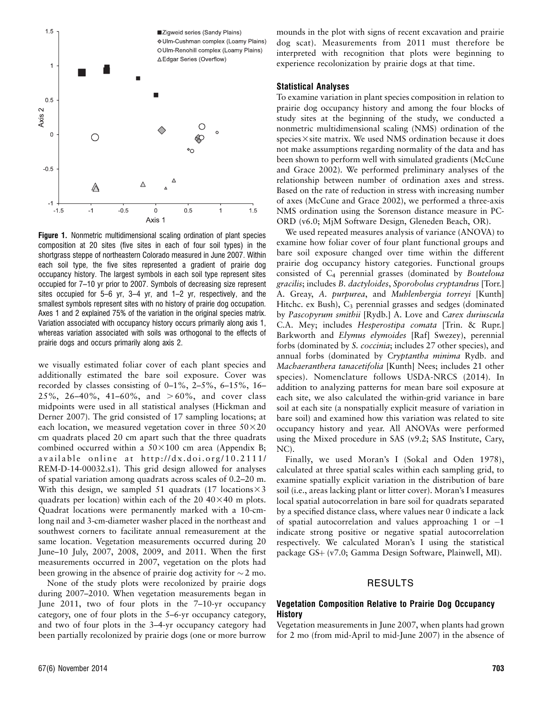

Figure 1. Nonmetric multidimensional scaling ordination of plant species composition at 20 sites (five sites in each of four soil types) in the shortgrass steppe of northeastern Colorado measured in June 2007. Within each soil type, the five sites represented a gradient of prairie dog occupancy history. The largest symbols in each soil type represent sites occupied for 7–10 yr prior to 2007. Symbols of decreasing size represent sites occupied for 5–6 yr, 3–4 yr, and 1–2 yr, respectively, and the smallest symbols represent sites with no history of prairie dog occupation. Axes 1 and 2 explained 75% of the variation in the original species matrix. Variation associated with occupancy history occurs primarily along axis 1, whereas variation associated with soils was orthogonal to the effects of prairie dogs and occurs primarily along axis 2.

we visually estimated foliar cover of each plant species and additionally estimated the bare soil exposure. Cover was recorded by classes consisting of 0–1%, 2–5%, 6–15%, 16– 25%, 26-40%, 41-60%, and  $>60\%$ , and cover class midpoints were used in all statistical analyses (Hickman and Derner 2007). The grid consisted of 17 sampling locations; at each location, we measured vegetation cover in three  $50\times20$ cm quadrats placed 20 cm apart such that the three quadrats combined occurred within a  $50\times100$  cm area (Appendix B; available online at http ://dx.doi.org/10.2111/ REM-D-14-00032.s1). This grid design allowed for analyses of spatial variation among quadrats across scales of 0.2–20 m. With this design, we sampled 51 quadrats (17 locations  $\times$  3 quadrats per location) within each of the 20  $40\times40$  m plots. Quadrat locations were permanently marked with a 10-cmlong nail and 3-cm-diameter washer placed in the northeast and southwest corners to facilitate annual remeasurement at the same location. Vegetation measurements occurred during 20 June–10 July, 2007, 2008, 2009, and 2011. When the first measurements occurred in 2007, vegetation on the plots had been growing in the absence of prairie dog activity for  $\sim$  2 mo.

None of the study plots were recolonized by prairie dogs during 2007–2010. When vegetation measurements began in June 2011, two of four plots in the 7–10-yr occupancy category, one of four plots in the 5–6-yr occupancy category, and two of four plots in the 3–4-yr occupancy category had been partially recolonized by prairie dogs (one or more burrow

mounds in the plot with signs of recent excavation and prairie dog scat). Measurements from 2011 must therefore be interpreted with recognition that plots were beginning to experience recolonization by prairie dogs at that time.

#### Statistical Analyses

To examine variation in plant species composition in relation to prairie dog occupancy history and among the four blocks of study sites at the beginning of the study, we conducted a nonmetric multidimensional scaling (NMS) ordination of the  $species \times site$  matrix. We used NMS ordination because it does not make assumptions regarding normality of the data and has been shown to perform well with simulated gradients (McCune and Grace 2002). We performed preliminary analyses of the relationship between number of ordination axes and stress. Based on the rate of reduction in stress with increasing number of axes (McCune and Grace 2002), we performed a three-axis NMS ordination using the Sorenson distance measure in PC-ORD (v6.0; MjM Software Design, Gleneden Beach, OR).

We used repeated measures analysis of variance (ANOVA) to examine how foliar cover of four plant functional groups and bare soil exposure changed over time within the different prairie dog occupancy history categories. Functional groups consisted of C4 perennial grasses (dominated by Bouteloua gracilis; includes B. dactyloides, Sporobolus cryptandrus [Torr.] A. Greay, A. purpurea, and Muhlenbergia torreyi [Kunth] Hitchc. ex Bush),  $C_3$  perennial grasses and sedges (dominated by Pascopyrum smithii [Rydb.] A. Love and Carex duriuscula C.A. Mey; includes Hesperostipa comata [Trin. & Rupr.] Barkworth and Elymus elymoides [Raf] Swezey), perennial forbs (dominated by *S. coccinia*; includes 27 other species), and annual forbs (dominated by Cryptantha minima Rydb. and Machaeranthera tanacetifolia [Kunth] Nees; includes 21 other species). Nomenclature follows USDA-NRCS (2014). In addition to analyzing patterns for mean bare soil exposure at each site, we also calculated the within-grid variance in bare soil at each site (a nonspatially explicit measure of variation in bare soil) and examined how this variation was related to site occupancy history and year. All ANOVAs were performed using the Mixed procedure in SAS (v9.2; SAS Institute, Cary, NC).

Finally, we used Moran's I (Sokal and Oden 1978), calculated at three spatial scales within each sampling grid, to examine spatially explicit variation in the distribution of bare soil (i.e., areas lacking plant or litter cover). Moran's I measures local spatial autocorrelation in bare soil for quadrats separated by a specified distance class, where values near 0 indicate a lack of spatial autocorrelation and values approaching 1 or  $-1$ indicate strong positive or negative spatial autocorrelation respectively. We calculated Moran's I using the statistical package GS+ (v7.0; Gamma Design Software, Plainwell, MI).

#### RESULTS

#### Vegetation Composition Relative to Prairie Dog Occupancy **History**

Vegetation measurements in June 2007, when plants had grown for 2 mo (from mid-April to mid-June 2007) in the absence of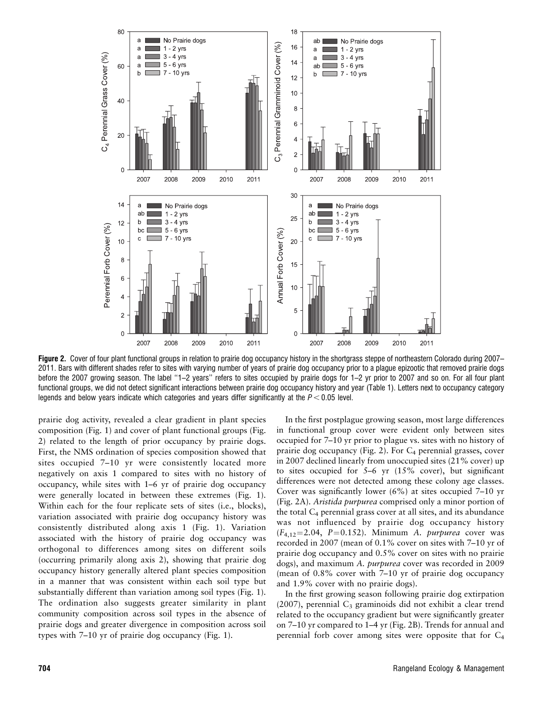

Figure 2. Cover of four plant functional groups in relation to prairie dog occupancy history in the shortgrass steppe of northeastern Colorado during 2007– 2011. Bars with different shades refer to sites with varying number of years of prairie dog occupancy prior to a plague epizootic that removed prairie dogs before the 2007 growing season. The label ''1–2 years'' refers to sites occupied by prairie dogs for 1–2 yr prior to 2007 and so on. For all four plant functional groups, we did not detect significant interactions between prairie dog occupancy history and year (Table 1). Letters next to occupancy category legends and below years indicate which categories and years differ significantly at the  $P < 0.05$  level.

prairie dog activity, revealed a clear gradient in plant species composition (Fig. 1) and cover of plant functional groups (Fig. 2) related to the length of prior occupancy by prairie dogs. First, the NMS ordination of species composition showed that sites occupied 7–10 yr were consistently located more negatively on axis 1 compared to sites with no history of occupancy, while sites with 1–6 yr of prairie dog occupancy were generally located in between these extremes (Fig. 1). Within each for the four replicate sets of sites (i.e., blocks), variation associated with prairie dog occupancy history was consistently distributed along axis 1 (Fig. 1). Variation associated with the history of prairie dog occupancy was orthogonal to differences among sites on different soils (occurring primarily along axis 2), showing that prairie dog occupancy history generally altered plant species composition in a manner that was consistent within each soil type but substantially different than variation among soil types (Fig. 1). The ordination also suggests greater similarity in plant community composition across soil types in the absence of prairie dogs and greater divergence in composition across soil types with 7–10 yr of prairie dog occupancy (Fig. 1).

In the first postplague growing season, most large differences in functional group cover were evident only between sites occupied for 7–10 yr prior to plague vs. sites with no history of prairie dog occupancy (Fig. 2). For  $C_4$  perennial grasses, cover in 2007 declined linearly from unoccupied sites (21% cover) up to sites occupied for 5–6 yr (15% cover), but significant differences were not detected among these colony age classes. Cover was significantly lower (6%) at sites occupied 7–10 yr (Fig. 2A). Aristida purpurea comprised only a minor portion of the total  $C_4$  perennial grass cover at all sites, and its abundance was not influenced by prairie dog occupancy history  $(F_{4,12}=2.04, P=0.152)$ . Minimum A. *purpurea* cover was recorded in 2007 (mean of 0.1% cover on sites with 7–10 yr of prairie dog occupancy and 0.5% cover on sites with no prairie dogs), and maximum A. *purpurea* cover was recorded in 2009 (mean of 0.8% cover with 7–10 yr of prairie dog occupancy and 1.9% cover with no prairie dogs).

In the first growing season following prairie dog extirpation (2007), perennial  $C_3$  graminoids did not exhibit a clear trend related to the occupancy gradient but were significantly greater on 7–10 yr compared to 1–4 yr (Fig. 2B). Trends for annual and perennial forb cover among sites were opposite that for C4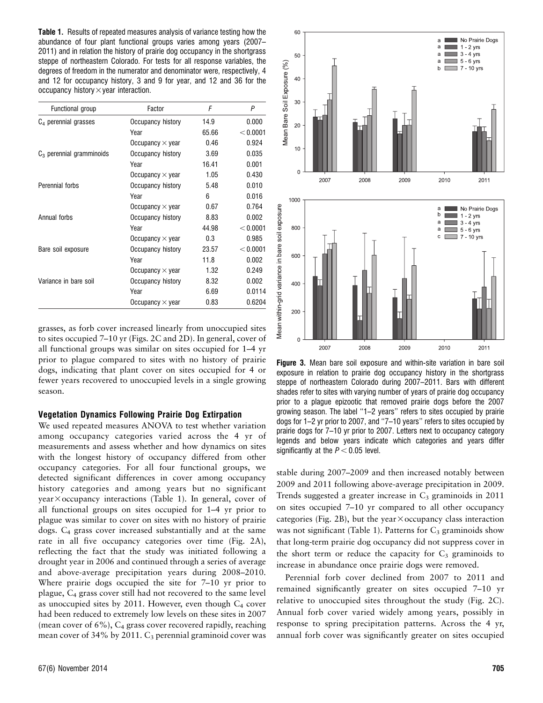Table 1. Results of repeated measures analysis of variance testing how the abundance of four plant functional groups varies among years (2007– 2011) and in relation the history of prairie dog occupancy in the shortgrass steppe of northeastern Colorado. For tests for all response variables, the degrees of freedom in the numerator and denominator were, respectively, 4 and 12 for occupancy history, 3 and 9 for year, and 12 and 36 for the occupancy history $\times$ year interaction.

| Functional group            | Factor                  | F     | P        |
|-----------------------------|-------------------------|-------|----------|
| $C_4$ perennial grasses     | Occupancy history       | 14.9  | 0.000    |
|                             | Year                    | 65.66 | < 0.0001 |
|                             | Occupancy $\times$ year | 0.46  | 0.924    |
| $C_3$ perennial gramminoids | Occupancy history       | 3.69  | 0.035    |
|                             | Year                    | 16.41 | 0.001    |
|                             | Occupancy $\times$ year | 1.05  | 0.430    |
| Perennial forbs             | Occupancy history       | 5.48  | 0.010    |
|                             | Year                    | 6     | 0.016    |
|                             | Occupancy $\times$ year | 0.67  | 0.764    |
| Annual forbs                | Occupancy history       | 8.83  | 0.002    |
|                             | Year                    | 44.98 | < 0.0001 |
|                             | Occupancy $\times$ year | 0.3   | 0.985    |
| Bare soil exposure          | Occupancy history       | 23.57 | < 0.0001 |
|                             | Year                    | 11.8  | 0.002    |
|                             | Occupancy $\times$ year | 1.32  | 0.249    |
| Variance in bare soil       | Occupancy history       | 8.32  | 0.002    |
|                             | Year                    | 6.69  | 0.0114   |
|                             | Occupancy $\times$ year | 0.83  | 0.6204   |

grasses, as forb cover increased linearly from unoccupied sites to sites occupied 7–10 yr (Figs. 2C and 2D). In general, cover of all functional groups was similar on sites occupied for 1–4 yr prior to plague compared to sites with no history of prairie dogs, indicating that plant cover on sites occupied for 4 or fewer years recovered to unoccupied levels in a single growing season.

#### Vegetation Dynamics Following Prairie Dog Extirpation

We used repeated measures ANOVA to test whether variation among occupancy categories varied across the 4 yr of measurements and assess whether and how dynamics on sites with the longest history of occupancy differed from other occupancy categories. For all four functional groups, we detected significant differences in cover among occupancy history categories and among years but no significant  $year \times occupancy$  interactions (Table 1). In general, cover of all functional groups on sites occupied for 1–4 yr prior to plague was similar to cover on sites with no history of prairie dogs. C4 grass cover increased substantially and at the same rate in all five occupancy categories over time (Fig. 2A), reflecting the fact that the study was initiated following a drought year in 2006 and continued through a series of average and above-average precipitation years during 2008–2010. Where prairie dogs occupied the site for 7–10 yr prior to plague, C4 grass cover still had not recovered to the same level as unoccupied sites by 2011. However, even though  $C_4$  cover had been reduced to extremely low levels on these sites in 2007 (mean cover of  $6\%$ ),  $C_4$  grass cover recovered rapidly, reaching mean cover of  $34\%$  by 2011.  $C_3$  perennial graminoid cover was



Figure 3. Mean bare soil exposure and within-site variation in bare soil exposure in relation to prairie dog occupancy history in the shortgrass steppe of northeastern Colorado during 2007–2011. Bars with different shades refer to sites with varying number of years of prairie dog occupancy prior to a plague epizootic that removed prairie dogs before the 2007 growing season. The label ''1–2 years'' refers to sites occupied by prairie dogs for 1–2 yr prior to 2007, and ''7–10 years'' refers to sites occupied by prairie dogs for 7–10 yr prior to 2007. Letters next to occupancy category legends and below years indicate which categories and years differ significantly at the  $P < 0.05$  level.

stable during 2007–2009 and then increased notably between 2009 and 2011 following above-average precipitation in 2009. Trends suggested a greater increase in  $C_3$  graminoids in 2011 on sites occupied 7–10 yr compared to all other occupancy categories (Fig. 2B), but the year $\times$ occupancy class interaction was not significant (Table 1). Patterns for  $C_3$  graminoids show that long-term prairie dog occupancy did not suppress cover in the short term or reduce the capacity for  $C_3$  graminoids to increase in abundance once prairie dogs were removed.

Perennial forb cover declined from 2007 to 2011 and remained significantly greater on sites occupied 7–10 yr relative to unoccupied sites throughout the study (Fig. 2C). Annual forb cover varied widely among years, possibly in response to spring precipitation patterns. Across the 4 yr, annual forb cover was significantly greater on sites occupied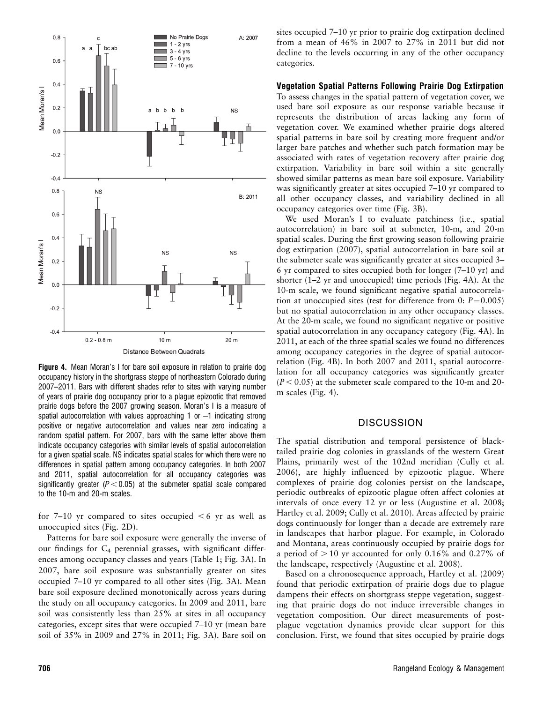

**Figure 4.** Mean Moran's I for bare soil exposure in relation to prairie dog occupancy history in the shortgrass steppe of northeastern Colorado during 2007–2011. Bars with different shades refer to sites with varying number of years of prairie dog occupancy prior to a plague epizootic that removed prairie dogs before the 2007 growing season. Moran's I is a measure of spatial autocorrelation with values approaching 1 or  $-1$  indicating strong positive or negative autocorrelation and values near zero indicating a random spatial pattern. For 2007, bars with the same letter above them indicate occupancy categories with similar levels of spatial autocorrelation for a given spatial scale. NS indicates spatial scales for which there were no differences in spatial pattern among occupancy categories. In both 2007 and 2011, spatial autocorrelation for all occupancy categories was significantly greater ( $P < 0.05$ ) at the submeter spatial scale compared to the 10-m and 20-m scales.

for 7–10 yr compared to sites occupied  $\leq 6$  yr as well as unoccupied sites (Fig. 2D).

Patterns for bare soil exposure were generally the inverse of our findings for C4 perennial grasses, with significant differences among occupancy classes and years (Table 1; Fig. 3A). In 2007, bare soil exposure was substantially greater on sites occupied 7–10 yr compared to all other sites (Fig. 3A). Mean bare soil exposure declined monotonically across years during the study on all occupancy categories. In 2009 and 2011, bare soil was consistently less than 25% at sites in all occupancy categories, except sites that were occupied 7–10 yr (mean bare soil of 35% in 2009 and 27% in 2011; Fig. 3A). Bare soil on sites occupied 7–10 yr prior to prairie dog extirpation declined from a mean of 46% in 2007 to 27% in 2011 but did not decline to the levels occurring in any of the other occupancy categories.

#### Vegetation Spatial Patterns Following Prairie Dog Extirpation

To assess changes in the spatial pattern of vegetation cover, we used bare soil exposure as our response variable because it represents the distribution of areas lacking any form of vegetation cover. We examined whether prairie dogs altered spatial patterns in bare soil by creating more frequent and/or larger bare patches and whether such patch formation may be associated with rates of vegetation recovery after prairie dog extirpation. Variability in bare soil within a site generally showed similar patterns as mean bare soil exposure. Variability was significantly greater at sites occupied 7–10 yr compared to all other occupancy classes, and variability declined in all occupancy categories over time (Fig. 3B).

We used Moran's I to evaluate patchiness (i.e., spatial autocorrelation) in bare soil at submeter, 10-m, and 20-m spatial scales. During the first growing season following prairie dog extirpation (2007), spatial autocorrelation in bare soil at the submeter scale was significantly greater at sites occupied 3– 6 yr compared to sites occupied both for longer (7–10 yr) and shorter (1–2 yr and unoccupied) time periods (Fig. 4A). At the 10-m scale, we found significant negative spatial autocorrelation at unoccupied sites (test for difference from  $0: P=0.005$ ) but no spatial autocorrelation in any other occupancy classes. At the 20-m scale, we found no significant negative or positive spatial autocorrelation in any occupancy category (Fig. 4A). In 2011, at each of the three spatial scales we found no differences among occupancy categories in the degree of spatial autocorrelation (Fig. 4B). In both 2007 and 2011, spatial autocorrelation for all occupancy categories was significantly greater  $(P < 0.05)$  at the submeter scale compared to the 10-m and 20m scales (Fig. 4).

## **DISCUSSION**

The spatial distribution and temporal persistence of blacktailed prairie dog colonies in grasslands of the western Great Plains, primarily west of the 102nd meridian (Cully et al. 2006), are highly influenced by epizootic plague. Where complexes of prairie dog colonies persist on the landscape, periodic outbreaks of epizootic plague often affect colonies at intervals of once every 12 yr or less (Augustine et al. 2008; Hartley et al. 2009; Cully et al. 2010). Areas affected by prairie dogs continuously for longer than a decade are extremely rare in landscapes that harbor plague. For example, in Colorado and Montana, areas continuously occupied by prairie dogs for a period of  $> 10$  yr accounted for only 0.16% and 0.27% of the landscape, respectively (Augustine et al. 2008).

Based on a chronosequence approach, Hartley et al. (2009) found that periodic extirpation of prairie dogs due to plague dampens their effects on shortgrass steppe vegetation, suggesting that prairie dogs do not induce irreversible changes in vegetation composition. Our direct measurements of postplague vegetation dynamics provide clear support for this conclusion. First, we found that sites occupied by prairie dogs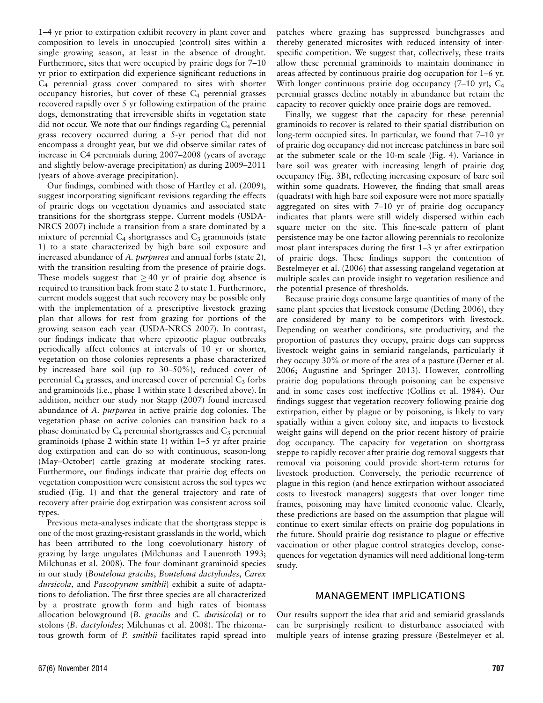1–4 yr prior to extirpation exhibit recovery in plant cover and composition to levels in unoccupied (control) sites within a single growing season, at least in the absence of drought. Furthermore, sites that were occupied by prairie dogs for 7–10 yr prior to extirpation did experience significant reductions in C4 perennial grass cover compared to sites with shorter occupancy histories, but cover of these  $C_4$  perennial grasses recovered rapidly over 5 yr following extirpation of the prairie dogs, demonstrating that irreversible shifts in vegetation state did not occur. We note that our findings regarding  $C_4$  perennial grass recovery occurred during a 5-yr period that did not encompass a drought year, but we did observe similar rates of increase in C4 perennials during 2007–2008 (years of average and slightly below-average precipitation) as during 2009–2011 (years of above-average precipitation).

Our findings, combined with those of Hartley et al. (2009), suggest incorporating significant revisions regarding the effects of prairie dogs on vegetation dynamics and associated state transitions for the shortgrass steppe. Current models (USDA-NRCS 2007) include a transition from a state dominated by a mixture of perennial  $C_4$  shortgrasses and  $C_3$  graminoids (state 1) to a state characterized by high bare soil exposure and increased abundance of A. purpurea and annual forbs (state 2), with the transition resulting from the presence of prairie dogs. These models suggest that  $\geq$  40 yr of prairie dog absence is required to transition back from state 2 to state 1. Furthermore, current models suggest that such recovery may be possible only with the implementation of a prescriptive livestock grazing plan that allows for rest from grazing for portions of the growing season each year (USDA-NRCS 2007). In contrast, our findings indicate that where epizootic plague outbreaks periodically affect colonies at intervals of 10 yr or shorter, vegetation on those colonies represents a phase characterized by increased bare soil (up to 30–50%), reduced cover of perennial  $C_4$  grasses, and increased cover of perennial  $C_3$  forbs and graminoids (i.e., phase 1 within state 1 described above). In addition, neither our study nor Stapp (2007) found increased abundance of A. purpurea in active prairie dog colonies. The vegetation phase on active colonies can transition back to a phase dominated by  $C_4$  perennial shortgrasses and  $C_3$  perennial graminoids (phase 2 within state 1) within 1–5 yr after prairie dog extirpation and can do so with continuous, season-long (May–October) cattle grazing at moderate stocking rates. Furthermore, our findings indicate that prairie dog effects on vegetation composition were consistent across the soil types we studied (Fig. 1) and that the general trajectory and rate of recovery after prairie dog extirpation was consistent across soil types.

Previous meta-analyses indicate that the shortgrass steppe is one of the most grazing-resistant grasslands in the world, which has been attributed to the long coevolutionary history of grazing by large ungulates (Milchunas and Lauenroth 1993; Milchunas et al. 2008). The four dominant graminoid species in our study (Bouteloua gracilis, Bouteloua dactyloides, Carex dursicola, and Pascopyrum smithii) exhibit a suite of adaptations to defoliation. The first three species are all characterized by a prostrate growth form and high rates of biomass allocation belowground (B. gracilis and C. durisicola) or to stolons (B. dactyloides; Milchunas et al. 2008). The rhizomatous growth form of P. smithii facilitates rapid spread into

patches where grazing has suppressed bunchgrasses and thereby generated microsites with reduced intensity of interspecific competition. We suggest that, collectively, these traits allow these perennial graminoids to maintain dominance in areas affected by continuous prairie dog occupation for 1–6 yr. With longer continuous prairie dog occupancy (7–10 yr), C<sub>4</sub> perennial grasses decline notably in abundance but retain the capacity to recover quickly once prairie dogs are removed.

Finally, we suggest that the capacity for these perennial graminoids to recover is related to their spatial distribution on long-term occupied sites. In particular, we found that 7–10 yr of prairie dog occupancy did not increase patchiness in bare soil at the submeter scale or the 10-m scale (Fig. 4). Variance in bare soil was greater with increasing length of prairie dog occupancy (Fig. 3B), reflecting increasing exposure of bare soil within some quadrats. However, the finding that small areas (quadrats) with high bare soil exposure were not more spatially aggregated on sites with 7–10 yr of prairie dog occupancy indicates that plants were still widely dispersed within each square meter on the site. This fine-scale pattern of plant persistence may be one factor allowing perennials to recolonize most plant interspaces during the first 1–3 yr after extirpation of prairie dogs. These findings support the contention of Bestelmeyer et al. (2006) that assessing rangeland vegetation at multiple scales can provide insight to vegetation resilience and the potential presence of thresholds.

Because prairie dogs consume large quantities of many of the same plant species that livestock consume (Detling 2006), they are considered by many to be competitors with livestock. Depending on weather conditions, site productivity, and the proportion of pastures they occupy, prairie dogs can suppress livestock weight gains in semiarid rangelands, particularly if they occupy 30% or more of the area of a pasture (Derner et al. 2006; Augustine and Springer 2013). However, controlling prairie dog populations through poisoning can be expensive and in some cases cost ineffective (Collins et al. 1984). Our findings suggest that vegetation recovery following prairie dog extirpation, either by plague or by poisoning, is likely to vary spatially within a given colony site, and impacts to livestock weight gains will depend on the prior recent history of prairie dog occupancy. The capacity for vegetation on shortgrass steppe to rapidly recover after prairie dog removal suggests that removal via poisoning could provide short-term returns for livestock production. Conversely, the periodic recurrence of plague in this region (and hence extirpation without associated costs to livestock managers) suggests that over longer time frames, poisoning may have limited economic value. Clearly, these predictions are based on the assumption that plague will continue to exert similar effects on prairie dog populations in the future. Should prairie dog resistance to plague or effective vaccination or other plague control strategies develop, consequences for vegetation dynamics will need additional long-term study.

## MANAGEMENT IMPLICATIONS

Our results support the idea that arid and semiarid grasslands can be surprisingly resilient to disturbance associated with multiple years of intense grazing pressure (Bestelmeyer et al.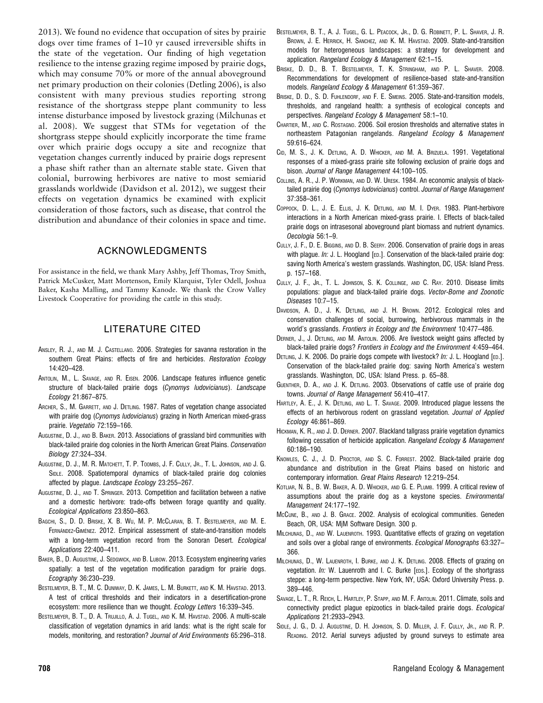2013). We found no evidence that occupation of sites by prairie dogs over time frames of 1–10 yr caused irreversible shifts in the state of the vegetation. Our finding of high vegetation resilience to the intense grazing regime imposed by prairie dogs, which may consume 70% or more of the annual aboveground net primary production on their colonies (Detling 2006), is also consistent with many previous studies reporting strong resistance of the shortgrass steppe plant community to less intense disturbance imposed by livestock grazing (Milchunas et al. 2008). We suggest that STMs for vegetation of the shortgrass steppe should explicitly incorporate the time frame over which prairie dogs occupy a site and recognize that vegetation changes currently induced by prairie dogs represent a phase shift rather than an alternate stable state. Given that colonial, burrowing herbivores are native to most semiarid grasslands worldwide (Davidson et al. 2012), we suggest their effects on vegetation dynamics be examined with explicit consideration of those factors, such as disease, that control the distribution and abundance of their colonies in space and time.

## ACKNOWLEDGMENTS

For assistance in the field, we thank Mary Ashby, Jeff Thomas, Troy Smith, Patrick McCusker, Matt Mortenson, Emily Klarquist, Tyler Odell, Joshua Baker, Kasha Malling, and Tammy Kanode. We thank the Crow Valley Livestock Cooperative for providing the cattle in this study.

## LITERATURE CITED

- ANSLEY, R. J., AND M. J. CASTELLANO. 2006. Strategies for savanna restoration in the southern Great Plains: effects of fire and herbicides. Restoration Ecology 14:420–428.
- ANTOLIN, M., L. SAVAGE, AND R. EISEN. 2006. Landscape features influence genetic structure of black-tailed prairie dogs (Cynomys ludovicianus). Landscape Ecology 21:867–875.
- ARCHER, S., M. GARRETT, AND J. DETLING. 1987. Rates of vegetation change associated with prairie dog (Cynomys *ludovicianus*) grazing in North American mixed-grass prairie. Vegetatio 72:159–166.
- AUGUSTINE, D. J., AND B. BAKER. 2013. Associations of grassland bird communities with black-tailed prairie dog colonies in the North American Great Plains. Conservation Biology 27:324–334.
- AUGUSTINE, D. J., M. R. MATCHETT, T. P. TOOMBS, J. F. CULLY, JR., T. L. JOHNSON, AND J. G. SIDLE. 2008. Spatiotemporal dynamics of black-tailed prairie dog colonies affected by plague. Landscape Ecology 23:255–267.
- AUGUSTINE, D. J., AND T. SPRINGER. 2013. Competition and facilitation between a native and a domestic herbivore: trade-offs between forage quantity and quality. Ecological Applications 23:850–863.
- BAGCHI, S., D. D. BRISKE, X. B. WU, M. P. MCCLARAN, B. T. BESTELMEYER, AND M. E. FERNÁNDEZ-GIMÉNEZ. 2012. Empirical assessment of state-and-transition models with a long-term vegetation record from the Sonoran Desert. Ecological Applications 22:400–411.
- BAKER, B., D. AUGUSTINE, J. SEDGWICK, AND B. LUBOW. 2013. Ecosystem engineering varies spatially: a test of the vegetation modification paradigm for prairie dogs. Ecography 36:230–239.
- BESTELMEYER, B. T., M. C. DUNIWAY, D. K. JAMES, L. M. BURKETT, AND K. M. HAVSTAD. 2013. A test of critical thresholds and their indicators in a desertification-prone ecosystem: more resilience than we thought. Ecology Letters 16:339–345.
- BESTELMEYER, B. T., D. A. TRUJILLO, A. J. TUGEL, AND K. M. HAVSTAD. 2006. A multi-scale classification of vegetation dynamics in arid lands: what is the right scale for models, monitoring, and restoration? Journal of Arid Environments 65:296–318.
- BESTELMEYER, B. T., A. J. TUGEL, G. L. PEACOCK, JR., D. G. ROBINETT, P. L. SHAVER, J. R. BROWN, J. E. HERRICK, H. SANCHEZ, AND K. M. HAVSTAD. 2009. State-and-transition models for heterogeneous landscapes: a strategy for development and application. Rangeland Ecology & Management 62:1–15.
- BRISKE, D. D., B. T. BESTELMEYER, T. K. STRINGHAM, AND P. L. SHAVER. 2008. Recommendations for development of resilience-based state-and-transition models. Rangeland Ecology & Management 61:359–367.
- BRISKE, D. D., S. D. FUHLENDORF, AND F. E. SMEINS. 2005. State-and-transition models, thresholds, and rangeland health: a synthesis of ecological concepts and perspectives. Rangeland Ecology & Management 58:1–10.
- CHARTIER, M., AND C. ROSTAGNO. 2006. Soil erosion thresholds and alternative states in northeastern Patagonian rangelands. Rangeland Ecology & Management 59:616–624.
- CID, M. S., J. K. DETLING, A. D. WHICKER, AND M. A. BRIZUELA. 1991. Vegetational responses of a mixed-grass prairie site following exclusion of prairie dogs and bison. Journal of Range Management 44:100–105.
- COLLINS, A. R., J. P. WORKMAN, AND D. W. URESK. 1984. An economic analysis of blacktailed prairie dog (Cynomys ludovicianus) control. Journal of Range Management 37:358–361.
- COPPOCK, D. L., J. E. ELLIS, J. K. DETLING, AND M. I. DYER. 1983. Plant-herbivore interactions in a North American mixed-grass prairie. I. Effects of black-tailed prairie dogs on intrasesonal aboveground plant biomass and nutrient dynamics. Oecologia 56:1–9.
- CULLY, J. F., D. E. BIGGINS, AND D. B. SEERY. 2006. Conservation of prairie dogs in areas with plague. In: J. L. Hoogland [ED.]. Conservation of the black-tailed prairie dog: saving North America's western grasslands. Washington, DC, USA: Island Press. p. 157–168.
- CULLY, J. F., JR., T. L. JOHNSON, S. K. COLLINGE, AND C. RAY. 2010. Disease limits populations: plague and black-tailed prairie dogs. Vector-Borne and Zoonotic Diseases 10:7–15.
- DAVIDSON, A. D., J. K. DETLING, AND J. H. BROWN. 2012. Ecological roles and conservation challenges of social, burrowing, herbivorous mammals in the world's grasslands. Frontiers in Ecology and the Environment 10:477–486.
- DERNER, J., J. DETLING, AND M. ANTOLIN. 2006. Are livestock weight gains affected by black-tailed prairie dogs? Frontiers in Ecology and the Environment 4:459–464.
- DETLING, J. K. 2006. Do prairie dogs compete with livestock? In: J. L. Hoogland [ED.]. Conservation of the black-tailed prairie dog: saving North America's western grasslands. Washington, DC, USA: Island Press. p. 65–88.
- GUENTHER, D. A., AND J. K. DETLING. 2003. Observations of cattle use of prairie dog towns. Journal of Range Management 56:410–417.
- HARTLEY, A. E., J. K. DETLING, AND L. T. SAVAGE. 2009. Introduced plague lessens the effects of an herbivorous rodent on grassland vegetation. Journal of Applied Ecology 46:861–869.
- HICKMAN, K. R., AND J. D. DERNER. 2007. Blackland tallgrass prairie vegetation dynamics following cessation of herbicide application. Rangeland Ecology & Management 60:186–190.
- KNOWLES, C. J., J. D. PROCTOR, AND S. C. FORREST. 2002. Black-tailed prairie dog abundance and distribution in the Great Plains based on historic and contemporary information. Great Plains Research 12:219–254.
- KOTLIAR, N. B., B. W. BAKER, A. D. WHICKER, AND G. E. PLUMB. 1999. A critical review of assumptions about the prairie dog as a keystone species. Environmental Management 24:177–192.
- MCCUNE, B., AND J. B. GRACE. 2002. Analysis of ecological communities. Geneden Beach, OR, USA: MjM Software Design. 300 p.
- MILCHUNAS, D., AND W. LAUENROTH. 1993. Quantitative effects of grazing on vegetation and soils over a global range of environments. Ecological Monographs 63:327– 366.
- MILCHUNAS, D., W. LAUENROTH, I. BURKE, AND J. K. DETLING. 2008. Effects of grazing on vegetation. In: W. Lauenroth and I. C. Burke [EDS.]. Ecology of the shortgrass steppe: a long-term perspective. New York, NY, USA: Oxford University Press. p. 389–446.
- SAVAGE, L. T., R. REICH, L. HARTLEY, P. STAPP, AND M. F. ANTOLIN. 2011. Climate, soils and connectivity predict plague epizootics in black-tailed prairie dogs. Ecological Applications 21:2933–2943.
- SIDLE, J. G., D. J. AUGUSTINE, D. H. JOHNSON, S. D. MILLER, J. F. CULLY, JR., AND R. P. READING. 2012. Aerial surveys adjusted by ground surveys to estimate area